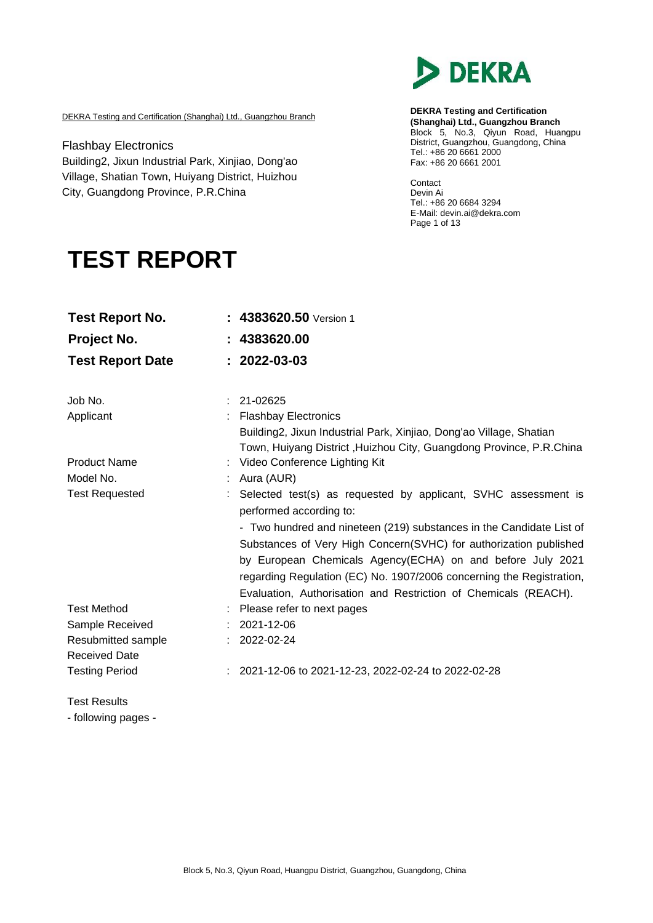

DEKRA Testing and Certification (Shanghai) Ltd., Guangzhou Branch

Flashbay Electronics Building2, Jixun Industrial Park, Xinjiao, Dong'ao Village, Shatian Town, Huiyang District, Huizhou City, Guangdong Province, P.R.China

**DEKRA Testing and Certification (Shanghai) Ltd., Guangzhou Branch** Block 5, No.3, Qiyun Road, Huangpu District, Guangzhou, Guangdong, China Tel.: +86 20 6661 2000 Fax: +86 20 6661 2001

Contact Devin Ai Tel.: +86 20 6684 3294 E-Mail: [devin.ai@dekra.com](mailto:devin.ai@dekra.com) Page 1 of 13

# **TEST REPORT**

| <b>Test Report No.</b>                     | : 4383620.50 Version 1                                                                                                                                                    |
|--------------------------------------------|---------------------------------------------------------------------------------------------------------------------------------------------------------------------------|
| Project No.                                | 4383620.00                                                                                                                                                                |
| <b>Test Report Date</b>                    | $: 2022 - 03 - 03$                                                                                                                                                        |
| Job No.                                    | 21-02625                                                                                                                                                                  |
| Applicant                                  | <b>Flashbay Electronics</b><br>Building2, Jixun Industrial Park, Xinjiao, Dong'ao Village, Shatian<br>Town, Huiyang District, Huizhou City, Guangdong Province, P.R.China |
| <b>Product Name</b>                        | Video Conference Lighting Kit                                                                                                                                             |
| Model No.                                  | Aura (AUR)                                                                                                                                                                |
| <b>Test Requested</b>                      | Selected test(s) as requested by applicant, SVHC assessment is<br>performed according to:                                                                                 |
|                                            | - Two hundred and nineteen (219) substances in the Candidate List of                                                                                                      |
|                                            | Substances of Very High Concern(SVHC) for authorization published                                                                                                         |
|                                            | by European Chemicals Agency(ECHA) on and before July 2021                                                                                                                |
|                                            | regarding Regulation (EC) No. 1907/2006 concerning the Registration,                                                                                                      |
| <b>Test Method</b>                         | Evaluation, Authorisation and Restriction of Chemicals (REACH).                                                                                                           |
|                                            | Please refer to next pages<br>2021-12-06                                                                                                                                  |
| Sample Received                            | 2022-02-24                                                                                                                                                                |
| Resubmitted sample<br><b>Received Date</b> |                                                                                                                                                                           |
| <b>Testing Period</b>                      | : 2021-12-06 to 2021-12-23, 2022-02-24 to 2022-02-28                                                                                                                      |
| <b>Test Results</b>                        |                                                                                                                                                                           |

- following pages -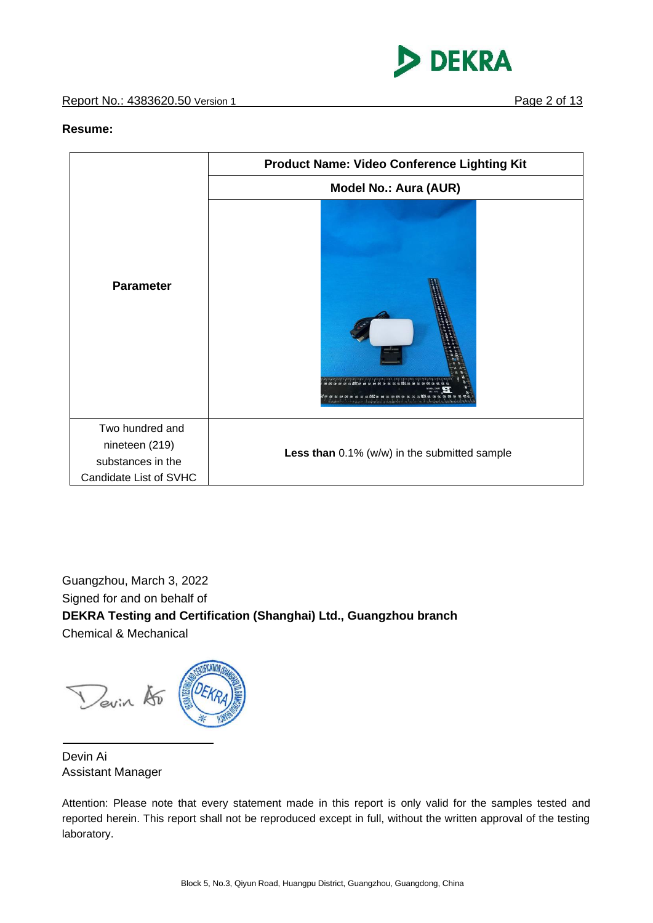



### **Resume:**

|                                                        | <b>Product Name: Video Conference Lighting Kit</b> |  |  |
|--------------------------------------------------------|----------------------------------------------------|--|--|
|                                                        | <b>Model No.: Aura (AUR)</b>                       |  |  |
| <b>Parameter</b>                                       |                                                    |  |  |
| Two hundred and<br>nineteen (219)<br>substances in the | Less than 0.1% (w/w) in the submitted sample       |  |  |
| Candidate List of SVHC                                 |                                                    |  |  |

Guangzhou, March 3, 2022 Signed for and on behalf of **DEKRA Testing and Certification (Shanghai) Ltd., Guangzhou branch** Chemical & Mechanical

Devin 15

Devin Ai Assistant Manager

Attention: Please note that every statement made in this report is only valid for the samples tested and reported herein. This report shall not be reproduced except in full, without the written approval of the testing laboratory.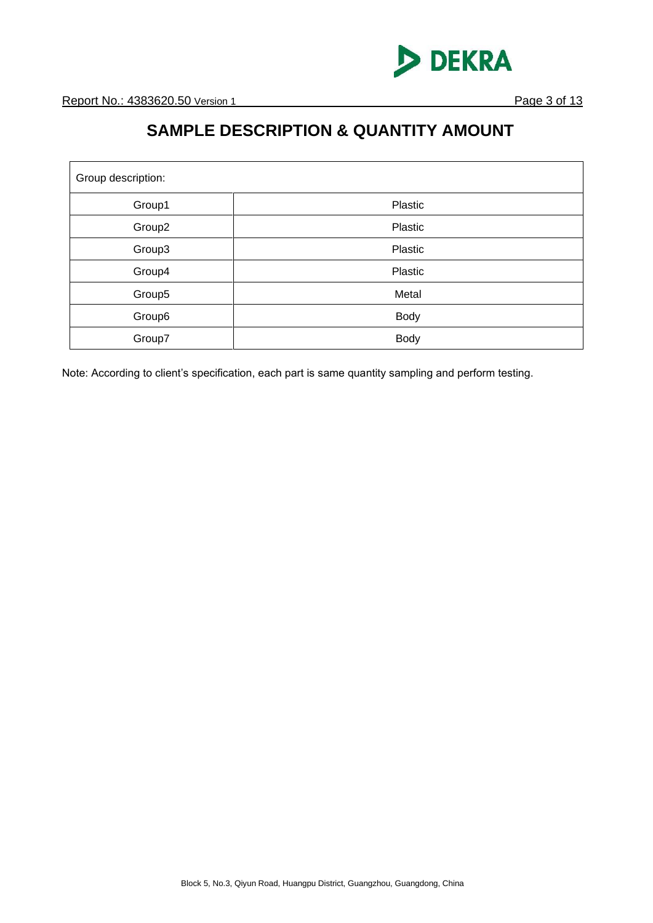

### **SAMPLE DESCRIPTION & QUANTITY AMOUNT**

| Group description: |             |  |  |
|--------------------|-------------|--|--|
| Group1             | Plastic     |  |  |
| Group2             | Plastic     |  |  |
| Group3             | Plastic     |  |  |
| Group4             | Plastic     |  |  |
| Group5             | Metal       |  |  |
| Group6             | <b>Body</b> |  |  |
| Group7             | <b>Body</b> |  |  |

Note: According to client's specification, each part is same quantity sampling and perform testing.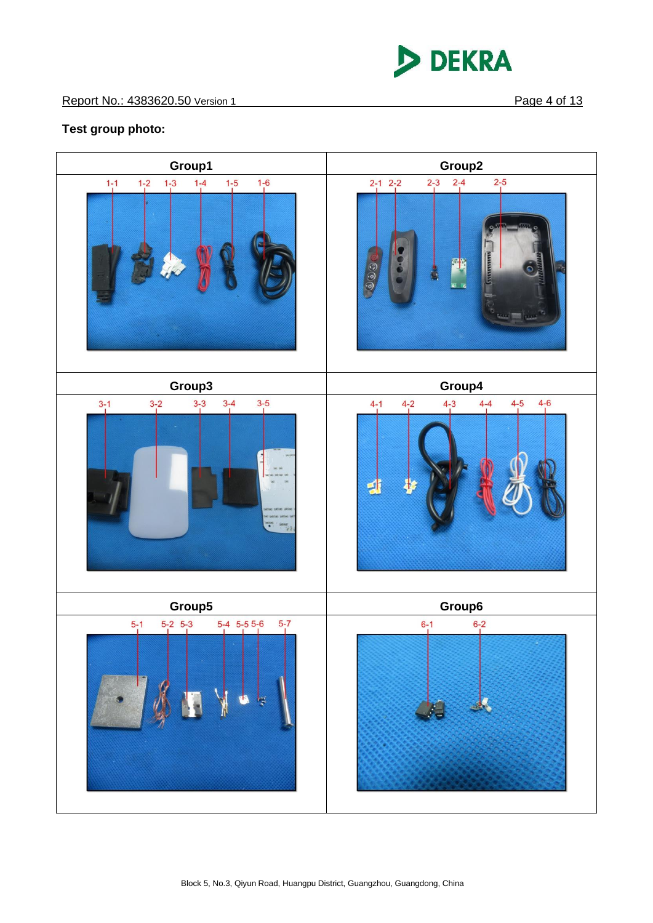

### **Test group photo:**

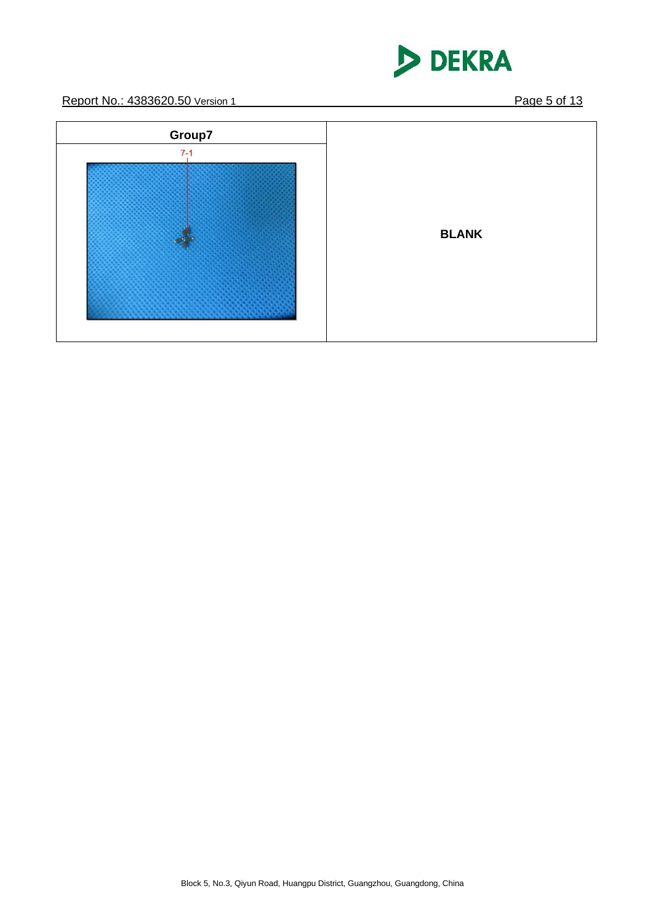

Report No.: 4383620.50 Version 1 **Page 5 of 13** 

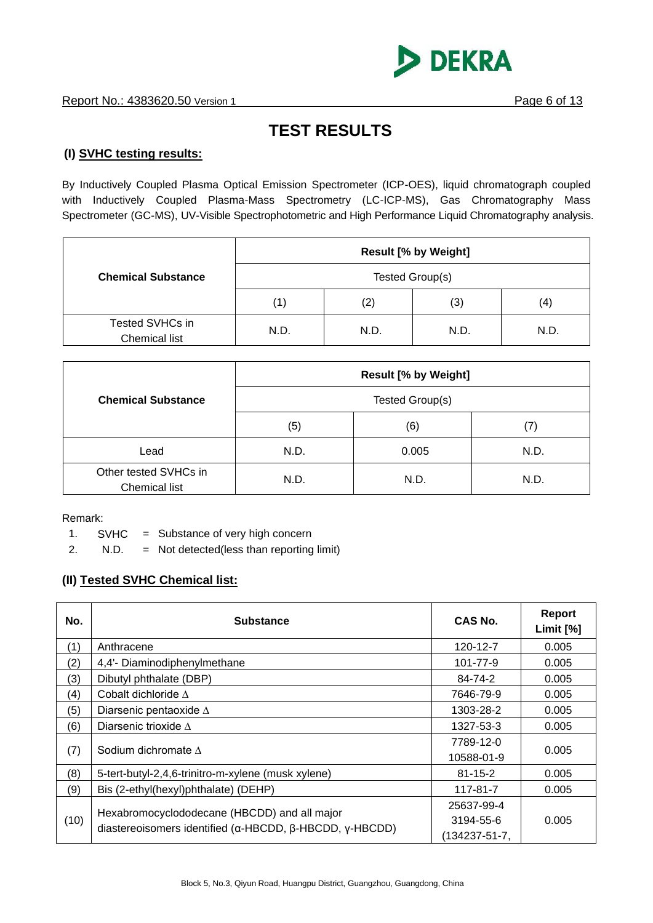

## **TEST RESULTS**

### **(I) SVHC testing results:**

By Inductively Coupled Plasma Optical Emission Spectrometer (ICP-OES), liquid chromatograph coupled with Inductively Coupled Plasma-Mass Spectrometry (LC-ICP-MS), Gas Chromatography Mass Spectrometer (GC-MS), UV-Visible Spectrophotometric and High Performance Liquid Chromatography analysis.

|                                  | <b>Result [% by Weight]</b> |      |      |      |
|----------------------------------|-----------------------------|------|------|------|
| <b>Chemical Substance</b>        | Tested Group(s)             |      |      |      |
|                                  | (1)                         | (2)  | (3)  | (4)  |
| Tested SVHCs in<br>Chemical list | N.D.                        | N.D. | N.D. | N.D. |

|                                               |                 | <b>Result [% by Weight]</b> |      |
|-----------------------------------------------|-----------------|-----------------------------|------|
| <b>Chemical Substance</b>                     | Tested Group(s) |                             |      |
|                                               | (5)             | (6)                         | (7)  |
| Lead                                          | N.D.            | 0.005                       | N.D. |
| Other tested SVHCs in<br><b>Chemical list</b> | N.D.            | N.D.                        | N.D. |

Remark:

1.  $SVHC = Substance of very high concern$ 

2. N.D. = Not detected(less than reporting limit)

### **(II) Tested SVHC Chemical list:**

| No.  | <b>Substance</b>                                                                                                                | CAS No.       | <b>Report</b><br>Limit $[%]$ |
|------|---------------------------------------------------------------------------------------------------------------------------------|---------------|------------------------------|
| (1)  | Anthracene                                                                                                                      | 120-12-7      | 0.005                        |
| (2)  | 4,4'- Diaminodiphenylmethane                                                                                                    | 101-77-9      | 0.005                        |
| (3)  | Dibutyl phthalate (DBP)                                                                                                         | 84-74-2       | 0.005                        |
| (4)  | Cobalt dichloride $\Delta$                                                                                                      | 7646-79-9     | 0.005                        |
| (5)  | Diarsenic pentaoxide $\Delta$                                                                                                   | 1303-28-2     | 0.005                        |
| (6)  | Diarsenic trioxide $\Lambda$                                                                                                    | 1327-53-3     | 0.005                        |
|      | Sodium dichromate $\Lambda$                                                                                                     | 7789-12-0     | 0.005                        |
| (7)  |                                                                                                                                 | 10588-01-9    |                              |
| (8)  | 5-tert-butyl-2,4,6-trinitro-m-xylene (musk xylene)                                                                              | $81 - 15 - 2$ | 0.005                        |
| (9)  | Bis (2-ethyl(hexyl)phthalate) (DEHP)                                                                                            | 117-81-7      | 0.005                        |
|      |                                                                                                                                 | 25637-99-4    |                              |
| (10) | Hexabromocyclododecane (HBCDD) and all major<br>diastereoisomers identified ( $\alpha$ -HBCDD, $\beta$ -HBCDD, $\gamma$ -HBCDD) | 3194-55-6     | 0.005                        |
|      |                                                                                                                                 | (134237-51-7, |                              |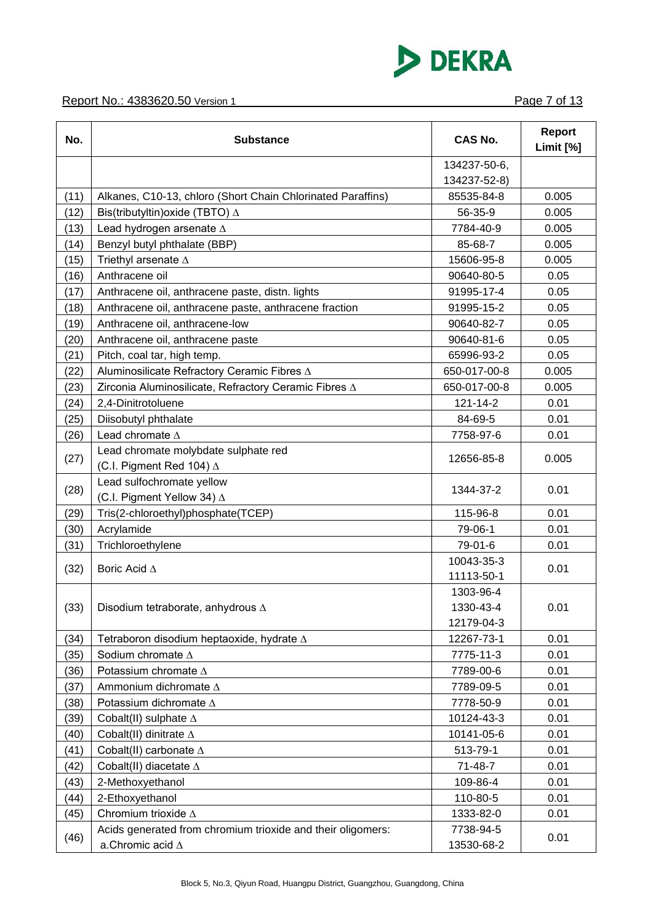

| No.  | <b>Substance</b>                                                        | <b>CAS No.</b> | <b>Report</b><br>Limit [%] |
|------|-------------------------------------------------------------------------|----------------|----------------------------|
|      |                                                                         | 134237-50-6,   |                            |
|      |                                                                         | 134237-52-8)   |                            |
| (11) | Alkanes, C10-13, chloro (Short Chain Chlorinated Paraffins)             | 85535-84-8     | 0.005                      |
| (12) | Bis(tributyltin)oxide (TBTO) ∆                                          | 56-35-9        | 0.005                      |
| (13) | Lead hydrogen arsenate A                                                | 7784-40-9      | 0.005                      |
| (14) | Benzyl butyl phthalate (BBP)                                            | 85-68-7        | 0.005                      |
| (15) | Triethyl arsenate $\Delta$                                              | 15606-95-8     | 0.005                      |
| (16) | Anthracene oil                                                          | 90640-80-5     | 0.05                       |
| (17) | Anthracene oil, anthracene paste, distn. lights                         | 91995-17-4     | 0.05                       |
| (18) | Anthracene oil, anthracene paste, anthracene fraction                   | 91995-15-2     | 0.05                       |
| (19) | Anthracene oil, anthracene-low                                          | 90640-82-7     | 0.05                       |
| (20) | Anthracene oil, anthracene paste                                        | 90640-81-6     | 0.05                       |
| (21) | Pitch, coal tar, high temp.                                             | 65996-93-2     | 0.05                       |
| (22) | Aluminosilicate Refractory Ceramic Fibres A                             | 650-017-00-8   | 0.005                      |
| (23) | Zirconia Aluminosilicate, Refractory Ceramic Fibres A                   | 650-017-00-8   | 0.005                      |
| (24) | 2,4-Dinitrotoluene                                                      | 121-14-2       | 0.01                       |
| (25) | Diisobutyl phthalate                                                    | 84-69-5        | 0.01                       |
| (26) | Lead chromate $\Delta$                                                  | 7758-97-6      | 0.01                       |
| (27) | Lead chromate molybdate sulphate red<br>(C.I. Pigment Red 104) $\Delta$ | 12656-85-8     | 0.005                      |
|      | Lead sulfochromate yellow                                               |                |                            |
| (28) | (C.I. Pigment Yellow 34) ∆                                              | 1344-37-2      | 0.01                       |
| (29) | Tris(2-chloroethyl)phosphate(TCEP)                                      | 115-96-8       | 0.01                       |
| (30) | Acrylamide                                                              | 79-06-1        | 0.01                       |
| (31) | Trichloroethylene                                                       | 79-01-6        | 0.01                       |
|      |                                                                         | 10043-35-3     |                            |
| (32) | Boric Acid $\Delta$                                                     | 11113-50-1     | 0.01                       |
|      |                                                                         | 1303-96-4      |                            |
| (33) | Disodium tetraborate, anhydrous $\Delta$                                | 1330-43-4      | 0.01                       |
|      |                                                                         | 12179-04-3     |                            |
| (34) | Tetraboron disodium heptaoxide, hydrate $\Delta$                        | 12267-73-1     | 0.01                       |
| (35) | Sodium chromate $\Delta$                                                | 7775-11-3      | 0.01                       |
| (36) | Potassium chromate $\Delta$                                             | 7789-00-6      | 0.01                       |
| (37) | Ammonium dichromate $\Delta$                                            | 7789-09-5      | 0.01                       |
| (38) | Potassium dichromate A                                                  | 7778-50-9      | 0.01                       |
| (39) | Cobalt(II) sulphate $\Delta$                                            | 10124-43-3     | 0.01                       |
| (40) | Cobalt(II) dinitrate $\Delta$                                           | 10141-05-6     | 0.01                       |
| (41) | Cobalt(II) carbonate $\Delta$                                           | 513-79-1       | 0.01                       |
| (42) | Cobalt(II) diacetate $\Delta$                                           | 71-48-7        | 0.01                       |
| (43) | 2-Methoxyethanol                                                        | 109-86-4       | 0.01                       |
| (44) | 2-Ethoxyethanol                                                         | 110-80-5       | 0.01                       |
| (45) | Chromium trioxide $\Delta$                                              | 1333-82-0      | 0.01                       |
|      | Acids generated from chromium trioxide and their oligomers:             | 7738-94-5      |                            |
| (46) | a.Chromic acid $\Delta$                                                 | 13530-68-2     | 0.01                       |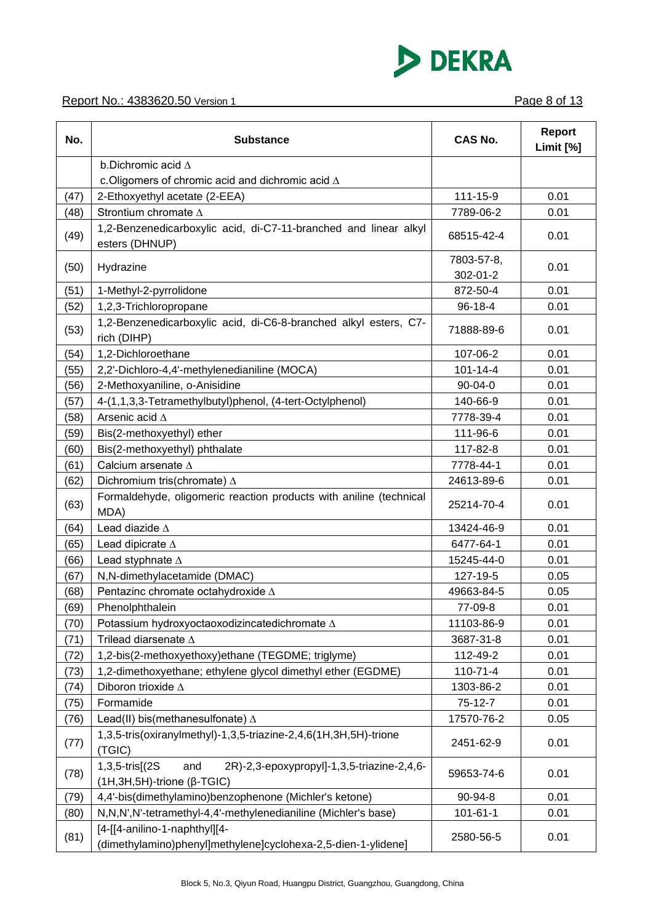

| No.  | <b>Substance</b>                                                                                                | <b>CAS No.</b>         | <b>Report</b><br>Limit [%] |
|------|-----------------------------------------------------------------------------------------------------------------|------------------------|----------------------------|
|      | b.Dichromic acid $\Delta$                                                                                       |                        |                            |
|      | c. Oligomers of chromic acid and dichromic acid $\Delta$                                                        |                        |                            |
| (47) | 2-Ethoxyethyl acetate (2-EEA)                                                                                   | 111-15-9               | 0.01                       |
| (48) | Strontium chromate $\Delta$                                                                                     | 7789-06-2              | 0.01                       |
| (49) | 1,2-Benzenedicarboxylic acid, di-C7-11-branched and linear alkyl<br>esters (DHNUP)                              | 68515-42-4             | 0.01                       |
| (50) | Hydrazine                                                                                                       | 7803-57-8,<br>302-01-2 | 0.01                       |
| (51) | 1-Methyl-2-pyrrolidone                                                                                          | 872-50-4               | 0.01                       |
| (52) | 1,2,3-Trichloropropane                                                                                          | 96-18-4                | 0.01                       |
| (53) | 1,2-Benzenedicarboxylic acid, di-C6-8-branched alkyl esters, C7-<br>rich (DIHP)                                 | 71888-89-6             | 0.01                       |
| (54) | 1,2-Dichloroethane                                                                                              | 107-06-2               | 0.01                       |
| (55) | 2,2'-Dichloro-4,4'-methylenedianiline (MOCA)                                                                    | $101 - 14 - 4$         | 0.01                       |
| (56) | 2-Methoxyaniline, o-Anisidine                                                                                   | $90 - 04 - 0$          | 0.01                       |
| (57) | 4-(1,1,3,3-Tetramethylbutyl)phenol, (4-tert-Octylphenol)                                                        | 140-66-9               | 0.01                       |
| (58) | Arsenic acid $\Delta$                                                                                           | 7778-39-4              | 0.01                       |
| (59) | Bis(2-methoxyethyl) ether                                                                                       | 111-96-6               | 0.01                       |
| (60) | Bis(2-methoxyethyl) phthalate                                                                                   | 117-82-8               | 0.01                       |
| (61) | Calcium arsenate $\Delta$                                                                                       | 7778-44-1              | 0.01                       |
| (62) | Dichromium tris(chromate) $\Delta$                                                                              | 24613-89-6             | 0.01                       |
| (63) | Formaldehyde, oligomeric reaction products with aniline (technical<br>MDA)                                      | 25214-70-4             | 0.01                       |
| (64) | Lead diazide $\Delta$                                                                                           | 13424-46-9             | 0.01                       |
| (65) | Lead dipicrate A                                                                                                | 6477-64-1              | 0.01                       |
| (66) | Lead styphnate $\Delta$                                                                                         | 15245-44-0             | 0.01                       |
| (67) | N,N-dimethylacetamide (DMAC)                                                                                    | 127-19-5               | 0.05                       |
| (68) | Pentazinc chromate octahydroxide $\Delta$                                                                       | 49663-84-5             | 0.05                       |
| (69) | Phenolphthalein                                                                                                 | 77-09-8                | 0.01                       |
| (70) | Potassium hydroxyoctaoxodizincatedichromate A                                                                   | 11103-86-9             | 0.01                       |
| (71) | Trilead diarsenate $\Delta$                                                                                     | 3687-31-8              | 0.01                       |
| (72) | 1,2-bis(2-methoxyethoxy)ethane (TEGDME; triglyme)                                                               | 112-49-2               | 0.01                       |
| (73) | 1,2-dimethoxyethane; ethylene glycol dimethyl ether (EGDME)                                                     | $110 - 71 - 4$         | 0.01                       |
| (74) | Diboron trioxide $\Delta$                                                                                       | 1303-86-2              | 0.01                       |
| (75) | Formamide                                                                                                       | 75-12-7                | 0.01                       |
| (76) | Lead(II) bis(methanesulfonate) $\Delta$                                                                         | 17570-76-2             | 0.05                       |
| (77) | 1,3,5-tris(oxiranylmethyl)-1,3,5-triazine-2,4,6(1H,3H,5H)-trione<br>(TGIC)                                      | 2451-62-9              | 0.01                       |
| (78) | 1,3,5-tris[(2S)<br>2R)-2,3-epoxypropyl]-1,3,5-triazine-2,4,6-<br>and<br>$(1H, 3H, 5H)$ -trione ( $\beta$ -TGIC) | 59653-74-6             | 0.01                       |
| (79) | 4,4'-bis(dimethylamino)benzophenone (Michler's ketone)                                                          | 90-94-8                | 0.01                       |
| (80) | N,N,N',N'-tetramethyl-4,4'-methylenedianiline (Michler's base)                                                  | $101 - 61 - 1$         | 0.01                       |
| (81) | [4-[[4-anilino-1-naphthyl][4-<br>(dimethylamino)phenyl]methylene]cyclohexa-2,5-dien-1-ylidene]                  | 2580-56-5              | 0.01                       |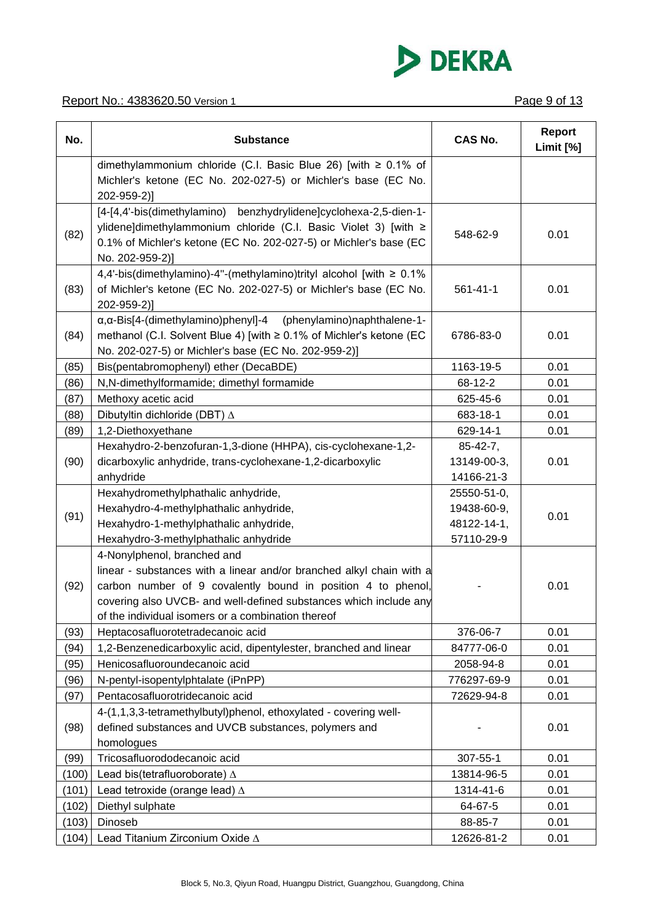

| No.   | <b>Substance</b>                                                                                                                                                                                                                                                                               | <b>CAS No.</b>                                          | Report<br>Limit [%] |
|-------|------------------------------------------------------------------------------------------------------------------------------------------------------------------------------------------------------------------------------------------------------------------------------------------------|---------------------------------------------------------|---------------------|
|       | dimethylammonium chloride (C.I. Basic Blue 26) [with $\geq 0.1\%$ of<br>Michler's ketone (EC No. 202-027-5) or Michler's base (EC No.<br>202-959-2)]                                                                                                                                           |                                                         |                     |
| (82)  | [4-[4,4'-bis(dimethylamino) benzhydrylidene]cyclohexa-2,5-dien-1-<br>ylidene]dimethylammonium chloride (C.I. Basic Violet 3) [with ≥<br>0.1% of Michler's ketone (EC No. 202-027-5) or Michler's base (EC<br>No. 202-959-2)]                                                                   | 548-62-9                                                | 0.01                |
| (83)  | 4,4'-bis(dimethylamino)-4"-(methylamino)trityl alcohol [with ≥ 0.1%<br>of Michler's ketone (EC No. 202-027-5) or Michler's base (EC No.<br>202-959-2)]                                                                                                                                         | $561 - 41 - 1$                                          | 0.01                |
| (84)  | (phenylamino)naphthalene-1-<br>$\alpha$ , $\alpha$ -Bis[4-(dimethylamino)phenyl]-4<br>methanol (C.I. Solvent Blue 4) [with ≥ 0.1% of Michler's ketone (EC<br>No. 202-027-5) or Michler's base (EC No. 202-959-2)]                                                                              | 6786-83-0                                               | 0.01                |
| (85)  | Bis(pentabromophenyl) ether (DecaBDE)                                                                                                                                                                                                                                                          | 1163-19-5                                               | 0.01                |
| (86)  | N,N-dimethylformamide; dimethyl formamide                                                                                                                                                                                                                                                      | 68-12-2                                                 | 0.01                |
| (87)  | Methoxy acetic acid                                                                                                                                                                                                                                                                            | 625-45-6                                                | 0.01                |
| (88)  | Dibutyltin dichloride (DBT) ∆                                                                                                                                                                                                                                                                  | 683-18-1                                                | 0.01                |
| (89)  | 1,2-Diethoxyethane                                                                                                                                                                                                                                                                             | 629-14-1                                                | 0.01                |
| (90)  | Hexahydro-2-benzofuran-1,3-dione (HHPA), cis-cyclohexane-1,2-<br>dicarboxylic anhydride, trans-cyclohexane-1,2-dicarboxylic<br>anhydride                                                                                                                                                       | $85 - 42 - 7$ ,<br>13149-00-3,<br>14166-21-3            | 0.01                |
| (91)  | Hexahydromethylphathalic anhydride,<br>Hexahydro-4-methylphathalic anhydride,<br>Hexahydro-1-methylphathalic anhydride,<br>Hexahydro-3-methylphathalic anhydride                                                                                                                               | 25550-51-0,<br>19438-60-9,<br>48122-14-1,<br>57110-29-9 | 0.01                |
| (92)  | 4-Nonylphenol, branched and<br>linear - substances with a linear and/or branched alkyl chain with a<br>carbon number of 9 covalently bound in position 4 to phenol,<br>covering also UVCB- and well-defined substances which include any<br>of the individual isomers or a combination thereof |                                                         | 0.01                |
| (93)  | Heptacosafluorotetradecanoic acid                                                                                                                                                                                                                                                              | 376-06-7                                                | 0.01                |
| (94)  | 1,2-Benzenedicarboxylic acid, dipentylester, branched and linear                                                                                                                                                                                                                               | 84777-06-0                                              | 0.01                |
| (95)  | Henicosafluoroundecanoic acid                                                                                                                                                                                                                                                                  | 2058-94-8                                               | 0.01                |
| (96)  | N-pentyl-isopentylphtalate (iPnPP)                                                                                                                                                                                                                                                             | 776297-69-9                                             | 0.01                |
| (97)  | Pentacosafluorotridecanoic acid                                                                                                                                                                                                                                                                | 72629-94-8                                              | 0.01                |
| (98)  | 4-(1,1,3,3-tetramethylbutyl)phenol, ethoxylated - covering well-<br>defined substances and UVCB substances, polymers and<br>homologues                                                                                                                                                         |                                                         | 0.01                |
| (99)  | Tricosafluorododecanoic acid                                                                                                                                                                                                                                                                   | 307-55-1                                                | 0.01                |
| (100) | Lead bis(tetrafluoroborate) $\Delta$                                                                                                                                                                                                                                                           | 13814-96-5                                              | 0.01                |
| (101) | Lead tetroxide (orange lead) $\Delta$                                                                                                                                                                                                                                                          | 1314-41-6                                               | 0.01                |
| (102) | Diethyl sulphate                                                                                                                                                                                                                                                                               | 64-67-5                                                 | 0.01                |
| (103) | Dinoseb                                                                                                                                                                                                                                                                                        | 88-85-7                                                 | 0.01                |
| (104) | Lead Titanium Zirconium Oxide A                                                                                                                                                                                                                                                                | 12626-81-2                                              | 0.01                |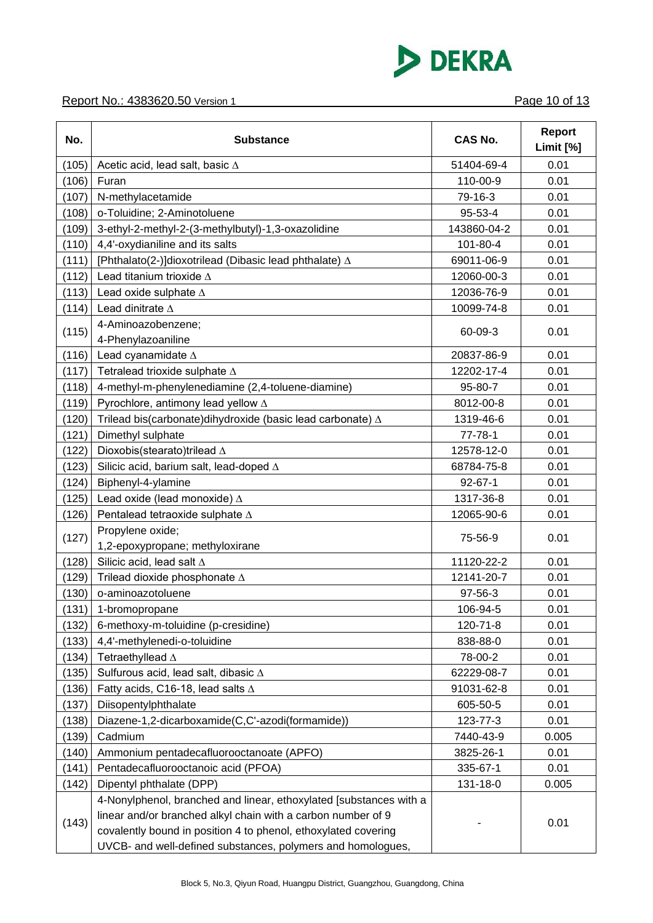

#### Report No.: 4383620.50 Version 1 **Page 10 of 13**

| No.   | <b>Substance</b>                                                                                                                                                                                                                                                    | <b>CAS No.</b> | <b>Report</b><br>Limit [%] |
|-------|---------------------------------------------------------------------------------------------------------------------------------------------------------------------------------------------------------------------------------------------------------------------|----------------|----------------------------|
| (105) | Acetic acid, lead salt, basic $\Delta$                                                                                                                                                                                                                              | 51404-69-4     | 0.01                       |
| (106) | Furan                                                                                                                                                                                                                                                               | 110-00-9       | 0.01                       |
| (107) | N-methylacetamide                                                                                                                                                                                                                                                   | 79-16-3        | 0.01                       |
| (108) | o-Toluidine; 2-Aminotoluene                                                                                                                                                                                                                                         | 95-53-4        | 0.01                       |
| (109) | 3-ethyl-2-methyl-2-(3-methylbutyl)-1,3-oxazolidine                                                                                                                                                                                                                  | 143860-04-2    | 0.01                       |
| (110) | 4,4'-oxydianiline and its salts                                                                                                                                                                                                                                     | 101-80-4       | 0.01                       |
| (111) | [Phthalato(2-)]dioxotrilead (Dibasic lead phthalate) $\Delta$                                                                                                                                                                                                       | 69011-06-9     | 0.01                       |
| (112) | Lead titanium trioxide $\Delta$                                                                                                                                                                                                                                     | 12060-00-3     | 0.01                       |
| (113) | Lead oxide sulphate $\Delta$                                                                                                                                                                                                                                        | 12036-76-9     | 0.01                       |
| (114) | Lead dinitrate A                                                                                                                                                                                                                                                    | 10099-74-8     | 0.01                       |
| (115) | 4-Aminoazobenzene;<br>4-Phenylazoaniline                                                                                                                                                                                                                            | 60-09-3        | 0.01                       |
| (116) | Lead cyanamidate $\Delta$                                                                                                                                                                                                                                           | 20837-86-9     | 0.01                       |
| (117) | Tetralead trioxide sulphate $\Delta$                                                                                                                                                                                                                                | 12202-17-4     | 0.01                       |
| (118) | 4-methyl-m-phenylenediamine (2,4-toluene-diamine)                                                                                                                                                                                                                   | 95-80-7        | 0.01                       |
| (119) | Pyrochlore, antimony lead yellow $\Delta$                                                                                                                                                                                                                           | 8012-00-8      | 0.01                       |
| (120) | Trilead bis(carbonate)dihydroxide (basic lead carbonate) A                                                                                                                                                                                                          | 1319-46-6      | 0.01                       |
| (121) | Dimethyl sulphate                                                                                                                                                                                                                                                   | $77 - 78 - 1$  | 0.01                       |
| (122) | Dioxobis(stearato)trilead ∆                                                                                                                                                                                                                                         | 12578-12-0     | 0.01                       |
| (123) | Silicic acid, barium salt, lead-doped $\Delta$                                                                                                                                                                                                                      | 68784-75-8     | 0.01                       |
| (124) | Biphenyl-4-ylamine                                                                                                                                                                                                                                                  | $92 - 67 - 1$  | 0.01                       |
| (125) | Lead oxide (lead monoxide) $\Delta$                                                                                                                                                                                                                                 | 1317-36-8      | 0.01                       |
| (126) | Pentalead tetraoxide sulphate $\Delta$                                                                                                                                                                                                                              | 12065-90-6     | 0.01                       |
| (127) | Propylene oxide;<br>1,2-epoxypropane; methyloxirane                                                                                                                                                                                                                 | 75-56-9        | 0.01                       |
| (128) | Silicic acid, lead salt $\Delta$                                                                                                                                                                                                                                    | 11120-22-2     | 0.01                       |
| (129) | Trilead dioxide phosphonate $\Delta$                                                                                                                                                                                                                                | 12141-20-7     | 0.01                       |
| (130) | o-aminoazotoluene                                                                                                                                                                                                                                                   | 97-56-3        | 0.01                       |
| (131) | 1-bromopropane                                                                                                                                                                                                                                                      | 106-94-5       | 0.01                       |
| (132) | 6-methoxy-m-toluidine (p-cresidine)                                                                                                                                                                                                                                 | 120-71-8       | 0.01                       |
| (133) | 4,4'-methylenedi-o-toluidine                                                                                                                                                                                                                                        | 838-88-0       | 0.01                       |
| (134) | Tetraethyllead $\Delta$                                                                                                                                                                                                                                             | 78-00-2        | 0.01                       |
| (135) | Sulfurous acid, lead salt, dibasic ∆                                                                                                                                                                                                                                | 62229-08-7     | 0.01                       |
| (136) | Fatty acids, C16-18, lead salts $\Delta$                                                                                                                                                                                                                            | 91031-62-8     | 0.01                       |
| (137) | Diisopentylphthalate                                                                                                                                                                                                                                                | 605-50-5       | 0.01                       |
| (138) | Diazene-1,2-dicarboxamide(C,C'-azodi(formamide))                                                                                                                                                                                                                    | 123-77-3       | 0.01                       |
| (139) | Cadmium                                                                                                                                                                                                                                                             | 7440-43-9      | 0.005                      |
| (140) | Ammonium pentadecafluorooctanoate (APFO)                                                                                                                                                                                                                            | 3825-26-1      | 0.01                       |
| (141) | Pentadecafluorooctanoic acid (PFOA)                                                                                                                                                                                                                                 | 335-67-1       | 0.01                       |
| (142) | Dipentyl phthalate (DPP)                                                                                                                                                                                                                                            | 131-18-0       | 0.005                      |
| (143) | 4-Nonylphenol, branched and linear, ethoxylated [substances with a<br>linear and/or branched alkyl chain with a carbon number of 9<br>covalently bound in position 4 to phenol, ethoxylated covering<br>UVCB- and well-defined substances, polymers and homologues, |                | 0.01                       |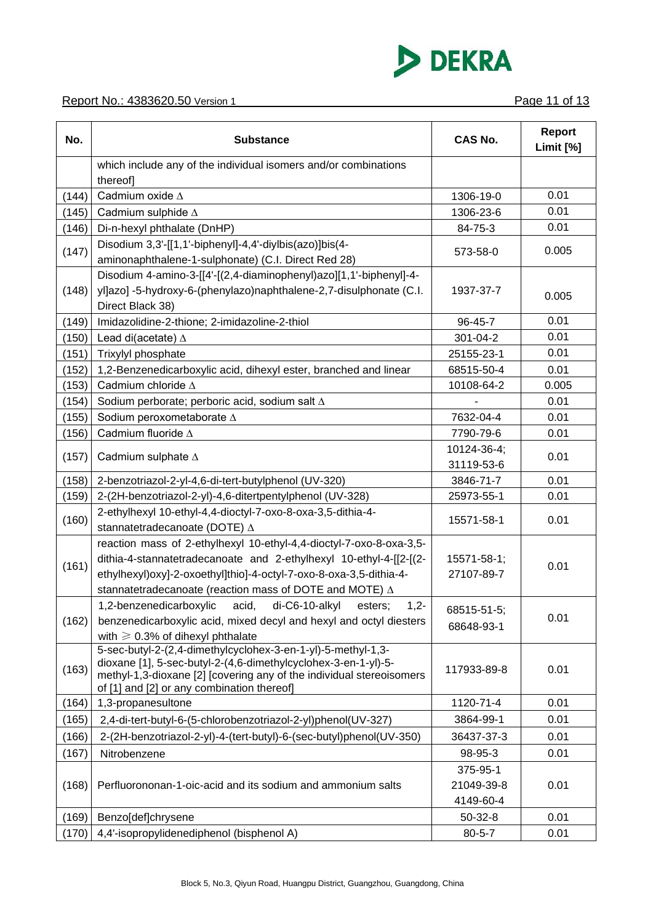

#### Report No.: 4383620.50 Version 1 **Page 11 of 13**

| No.   | <b>Substance</b>                                                                                                                                                                                                                                                                  | <b>CAS No.</b>                      | <b>Report</b><br>Limit [%] |
|-------|-----------------------------------------------------------------------------------------------------------------------------------------------------------------------------------------------------------------------------------------------------------------------------------|-------------------------------------|----------------------------|
|       | which include any of the individual isomers and/or combinations<br>thereof]                                                                                                                                                                                                       |                                     |                            |
| (144) | Cadmium oxide $\Delta$                                                                                                                                                                                                                                                            | 1306-19-0                           | 0.01                       |
| (145) | Cadmium sulphide $\Delta$                                                                                                                                                                                                                                                         | 1306-23-6                           | 0.01                       |
| (146) | Di-n-hexyl phthalate (DnHP)                                                                                                                                                                                                                                                       | 84-75-3                             | 0.01                       |
| (147) | Disodium 3,3'-[[1,1'-biphenyl]-4,4'-diylbis(azo)]bis(4-<br>aminonaphthalene-1-sulphonate) (C.I. Direct Red 28)                                                                                                                                                                    | 573-58-0                            | 0.005                      |
| (148) | Disodium 4-amino-3-[[4'-[(2,4-diaminophenyl)azo][1,1'-biphenyl]-4-<br>yl]azo] -5-hydroxy-6-(phenylazo)naphthalene-2,7-disulphonate (C.I.<br>Direct Black 38)                                                                                                                      | 1937-37-7                           | 0.005                      |
| (149) | Imidazolidine-2-thione; 2-imidazoline-2-thiol                                                                                                                                                                                                                                     | 96-45-7                             | 0.01                       |
| (150) | Lead di(acetate) $\Delta$                                                                                                                                                                                                                                                         | 301-04-2                            | 0.01                       |
| (151) | Trixylyl phosphate                                                                                                                                                                                                                                                                | 25155-23-1                          | 0.01                       |
| (152) | 1,2-Benzenedicarboxylic acid, dihexyl ester, branched and linear                                                                                                                                                                                                                  | 68515-50-4                          | 0.01                       |
| (153) | Cadmium chloride $\Delta$                                                                                                                                                                                                                                                         | 10108-64-2                          | 0.005                      |
| (154) | Sodium perborate; perboric acid, sodium salt $\Delta$                                                                                                                                                                                                                             |                                     | 0.01                       |
| (155) | Sodium peroxometaborate A                                                                                                                                                                                                                                                         | 7632-04-4                           | 0.01                       |
| (156) | Cadmium fluoride $\Delta$                                                                                                                                                                                                                                                         | 7790-79-6                           | 0.01                       |
| (157) | Cadmium sulphate $\Delta$                                                                                                                                                                                                                                                         | 10124-36-4;<br>31119-53-6           | 0.01                       |
| (158) | 2-benzotriazol-2-yl-4,6-di-tert-butylphenol (UV-320)                                                                                                                                                                                                                              | 3846-71-7                           | 0.01                       |
| (159) | 2-(2H-benzotriazol-2-yl)-4,6-ditertpentylphenol (UV-328)                                                                                                                                                                                                                          | 25973-55-1                          | 0.01                       |
| (160) | 2-ethylhexyl 10-ethyl-4,4-dioctyl-7-oxo-8-oxa-3,5-dithia-4-<br>stannatetradecanoate (DOTE) ∆                                                                                                                                                                                      | 15571-58-1                          | 0.01                       |
| (161) | reaction mass of 2-ethylhexyl 10-ethyl-4,4-dioctyl-7-oxo-8-oxa-3,5-<br>dithia-4-stannatetradecanoate and 2-ethylhexyl 10-ethyl-4-[[2-[(2-<br>ethylhexyl)oxy]-2-oxoethyl]thio]-4-octyl-7-oxo-8-oxa-3,5-dithia-4-<br>stannatetradecanoate (reaction mass of DOTE and MOTE) $\Delta$ | 15571-58-1;<br>27107-89-7           | 0.01                       |
| (162) | 1,2-benzenedicarboxylic acid, di-C6-10-alkyl<br>$1,2-$<br>esters:<br>benzenedicarboxylic acid, mixed decyl and hexyl and octyl diesters<br>with $\geqslant$ 0.3% of dihexyl phthalate                                                                                             | 68515-51-5;<br>68648-93-1           | 0.01                       |
| (163) | 5-sec-butyl-2-(2,4-dimethylcyclohex-3-en-1-yl)-5-methyl-1,3-<br>dioxane [1], 5-sec-butyl-2-(4,6-dimethylcyclohex-3-en-1-yl)-5-<br>methyl-1,3-dioxane [2] [covering any of the individual stereoisomers<br>of [1] and [2] or any combination thereof]                              | 117933-89-8                         | 0.01                       |
| (164) | 1,3-propanesultone                                                                                                                                                                                                                                                                | 1120-71-4                           | 0.01                       |
| (165) | 2,4-di-tert-butyl-6-(5-chlorobenzotriazol-2-yl)phenol(UV-327)                                                                                                                                                                                                                     | 3864-99-1                           | 0.01                       |
| (166) | 2-(2H-benzotriazol-2-yl)-4-(tert-butyl)-6-(sec-butyl)phenol(UV-350)                                                                                                                                                                                                               | 36437-37-3                          | 0.01                       |
| (167) | Nitrobenzene                                                                                                                                                                                                                                                                      | 98-95-3                             | 0.01                       |
| (168) | Perfluorononan-1-oic-acid and its sodium and ammonium salts                                                                                                                                                                                                                       | 375-95-1<br>21049-39-8<br>4149-60-4 | 0.01                       |
| (169) | Benzo[def]chrysene                                                                                                                                                                                                                                                                | $50 - 32 - 8$                       | 0.01                       |
| (170) | 4,4'-isopropylidenediphenol (bisphenol A)                                                                                                                                                                                                                                         | $80 - 5 - 7$                        | 0.01                       |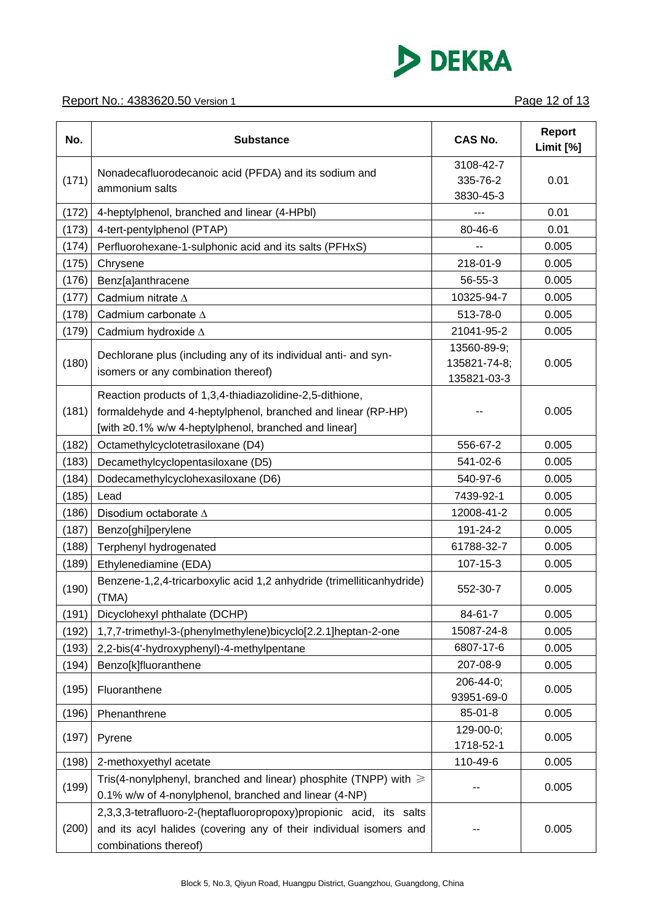

| No.   | <b>Substance</b>                                                                                                                                                                 | <b>CAS No.</b>                             | <b>Report</b><br>Limit [%] |
|-------|----------------------------------------------------------------------------------------------------------------------------------------------------------------------------------|--------------------------------------------|----------------------------|
| (171) | Nonadecafluorodecanoic acid (PFDA) and its sodium and<br>ammonium salts                                                                                                          | 3108-42-7<br>335-76-2<br>3830-45-3         | 0.01                       |
| (172) | 4-heptylphenol, branched and linear (4-HPbI)                                                                                                                                     |                                            | 0.01                       |
| (173) | 4-tert-pentylphenol (PTAP)                                                                                                                                                       | 80-46-6                                    | 0.01                       |
| (174) | Perfluorohexane-1-sulphonic acid and its salts (PFHxS)                                                                                                                           | --                                         | 0.005                      |
| (175) | Chrysene                                                                                                                                                                         | 218-01-9                                   | 0.005                      |
| (176) | Benz[a]anthracene                                                                                                                                                                | $56 - 55 - 3$                              | 0.005                      |
| (177) | Cadmium nitrate $\Delta$                                                                                                                                                         | 10325-94-7                                 | 0.005                      |
| (178) | Cadmium carbonate A                                                                                                                                                              | 513-78-0                                   | 0.005                      |
| (179) | Cadmium hydroxide $\Delta$                                                                                                                                                       | 21041-95-2                                 | 0.005                      |
| (180) | Dechlorane plus (including any of its individual anti- and syn-<br>isomers or any combination thereof)                                                                           | 13560-89-9;<br>135821-74-8;<br>135821-03-3 | 0.005                      |
| (181) | Reaction products of 1,3,4-thiadiazolidine-2,5-dithione,<br>formaldehyde and 4-heptylphenol, branched and linear (RP-HP)<br>[with ≥0.1% w/w 4-heptylphenol, branched and linear] |                                            | 0.005                      |
| (182) | Octamethylcyclotetrasiloxane (D4)                                                                                                                                                | 556-67-2                                   | 0.005                      |
| (183) | Decamethylcyclopentasiloxane (D5)                                                                                                                                                | 541-02-6                                   | 0.005                      |
| (184) | Dodecamethylcyclohexasiloxane (D6)                                                                                                                                               | 540-97-6                                   | 0.005                      |
| (185) | Lead                                                                                                                                                                             | 7439-92-1                                  | 0.005                      |
| (186) | Disodium octaborate ∆                                                                                                                                                            | 12008-41-2                                 | 0.005                      |
| (187) | Benzo[ghi]perylene                                                                                                                                                               | 191-24-2                                   | 0.005                      |
| (188) | Terphenyl hydrogenated                                                                                                                                                           | 61788-32-7                                 | 0.005                      |
| (189) | Ethylenediamine (EDA)                                                                                                                                                            | 107-15-3                                   | 0.005                      |
| (190) | Benzene-1,2,4-tricarboxylic acid 1,2 anhydride (trimelliticanhydride)<br>(TMA)                                                                                                   | 552-30-7                                   | 0.005                      |
| (191) | Dicyclohexyl phthalate (DCHP)                                                                                                                                                    | 84-61-7                                    | 0.005                      |
| (192) | 1,7,7-trimethyl-3-(phenylmethylene)bicyclo[2.2.1]heptan-2-one                                                                                                                    | 15087-24-8                                 | 0.005                      |
| (193) | 2,2-bis(4'-hydroxyphenyl)-4-methylpentane                                                                                                                                        | 6807-17-6                                  | 0.005                      |
| (194) | Benzo[k]fluoranthene                                                                                                                                                             | 207-08-9                                   | 0.005                      |
| (195) | Fluoranthene                                                                                                                                                                     | 206-44-0;<br>93951-69-0                    | 0.005                      |
| (196) | Phenanthrene                                                                                                                                                                     | 85-01-8                                    | 0.005                      |
| (197) | Pyrene                                                                                                                                                                           | 129-00-0;<br>1718-52-1                     | 0.005                      |
| (198) | 2-methoxyethyl acetate                                                                                                                                                           | 110-49-6                                   | 0.005                      |
| (199) | Tris(4-nonylphenyl, branched and linear) phosphite (TNPP) with $\geq$<br>0.1% w/w of 4-nonylphenol, branched and linear (4-NP)                                                   |                                            | 0.005                      |
| (200) | 2,3,3,3-tetrafluoro-2-(heptafluoropropoxy)propionic acid, its salts<br>and its acyl halides (covering any of their individual isomers and<br>combinations thereof)               |                                            | 0.005                      |